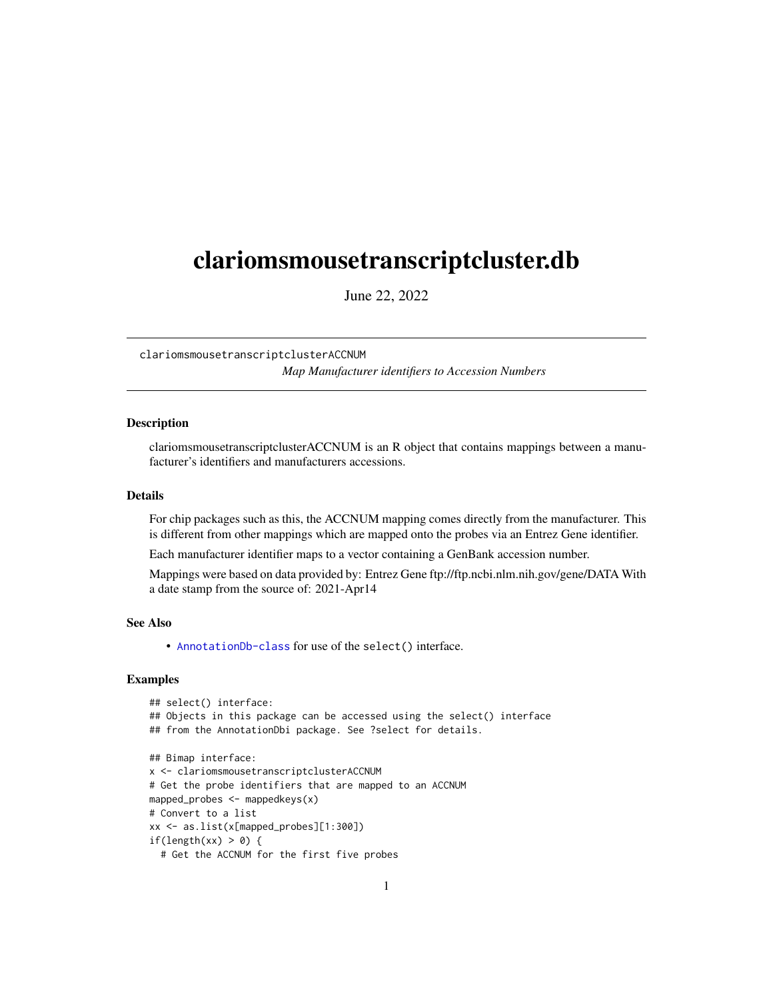## <span id="page-0-1"></span><span id="page-0-0"></span>clariomsmousetranscriptcluster.db

June 22, 2022

clariomsmousetranscriptclusterACCNUM *Map Manufacturer identifiers to Accession Numbers*

## **Description**

clariomsmousetranscriptclusterACCNUM is an R object that contains mappings between a manufacturer's identifiers and manufacturers accessions.

#### Details

For chip packages such as this, the ACCNUM mapping comes directly from the manufacturer. This is different from other mappings which are mapped onto the probes via an Entrez Gene identifier.

Each manufacturer identifier maps to a vector containing a GenBank accession number.

Mappings were based on data provided by: Entrez Gene ftp://ftp.ncbi.nlm.nih.gov/gene/DATA With a date stamp from the source of: 2021-Apr14

## See Also

• AnnotationDb-class for use of the select() interface.

```
## select() interface:
## Objects in this package can be accessed using the select() interface
## from the AnnotationDbi package. See ?select for details.
## Bimap interface:
x <- clariomsmousetranscriptclusterACCNUM
# Get the probe identifiers that are mapped to an ACCNUM
mapped_probes <- mappedkeys(x)
# Convert to a list
xx <- as.list(x[mapped_probes][1:300])
if(length(xx) > 0) {
 # Get the ACCNUM for the first five probes
```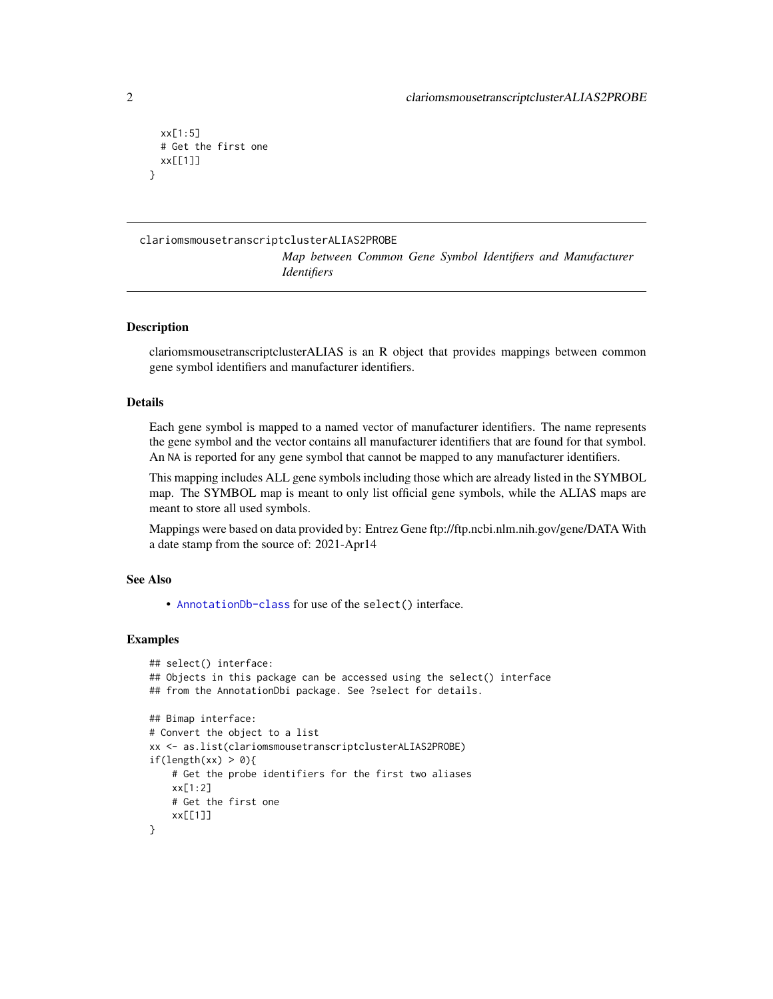```
xx[1:5]
 # Get the first one
 xx[[1]]
}
```
## clariomsmousetranscriptclusterALIAS2PROBE

*Map between Common Gene Symbol Identifiers and Manufacturer Identifiers*

## **Description**

clariomsmousetranscriptclusterALIAS is an R object that provides mappings between common gene symbol identifiers and manufacturer identifiers.

## Details

Each gene symbol is mapped to a named vector of manufacturer identifiers. The name represents the gene symbol and the vector contains all manufacturer identifiers that are found for that symbol. An NA is reported for any gene symbol that cannot be mapped to any manufacturer identifiers.

This mapping includes ALL gene symbols including those which are already listed in the SYMBOL map. The SYMBOL map is meant to only list official gene symbols, while the ALIAS maps are meant to store all used symbols.

Mappings were based on data provided by: Entrez Gene ftp://ftp.ncbi.nlm.nih.gov/gene/DATA With a date stamp from the source of: 2021-Apr14

## See Also

• [AnnotationDb-class](#page-0-0) for use of the select() interface.

```
## select() interface:
## Objects in this package can be accessed using the select() interface
## from the AnnotationDbi package. See ?select for details.
## Bimap interface:
# Convert the object to a list
xx <- as.list(clariomsmousetranscriptclusterALIAS2PROBE)
if(length(xx) > 0){
   # Get the probe identifiers for the first two aliases
   xx[1:2]
   # Get the first one
    xx[[1]]
}
```
<span id="page-1-0"></span>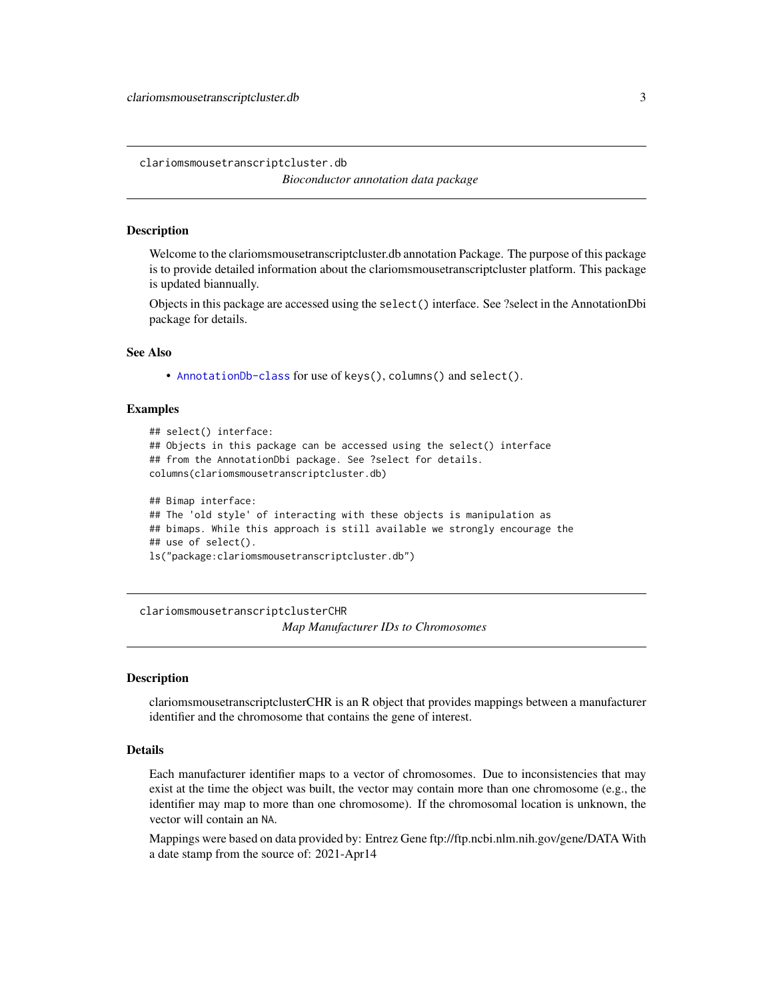<span id="page-2-0"></span>clariomsmousetranscriptcluster.db

*Bioconductor annotation data package*

#### **Description**

Welcome to the clariomsmousetranscriptcluster.db annotation Package. The purpose of this package is to provide detailed information about the clariomsmousetranscriptcluster platform. This package is updated biannually.

Objects in this package are accessed using the select() interface. See ?select in the AnnotationDbi package for details.

## See Also

• [AnnotationDb-class](#page-0-0) for use of keys(), columns() and select().

#### Examples

```
## select() interface:
## Objects in this package can be accessed using the select() interface
## from the AnnotationDbi package. See ?select for details.
columns(clariomsmousetranscriptcluster.db)
## Bimap interface:
## The 'old style' of interacting with these objects is manipulation as
## bimaps. While this approach is still available we strongly encourage the
```
## use of select().

ls("package:clariomsmousetranscriptcluster.db")

clariomsmousetranscriptclusterCHR *Map Manufacturer IDs to Chromosomes*

## Description

clariomsmousetranscriptclusterCHR is an R object that provides mappings between a manufacturer identifier and the chromosome that contains the gene of interest.

## Details

Each manufacturer identifier maps to a vector of chromosomes. Due to inconsistencies that may exist at the time the object was built, the vector may contain more than one chromosome (e.g., the identifier may map to more than one chromosome). If the chromosomal location is unknown, the vector will contain an NA.

Mappings were based on data provided by: Entrez Gene ftp://ftp.ncbi.nlm.nih.gov/gene/DATA With a date stamp from the source of: 2021-Apr14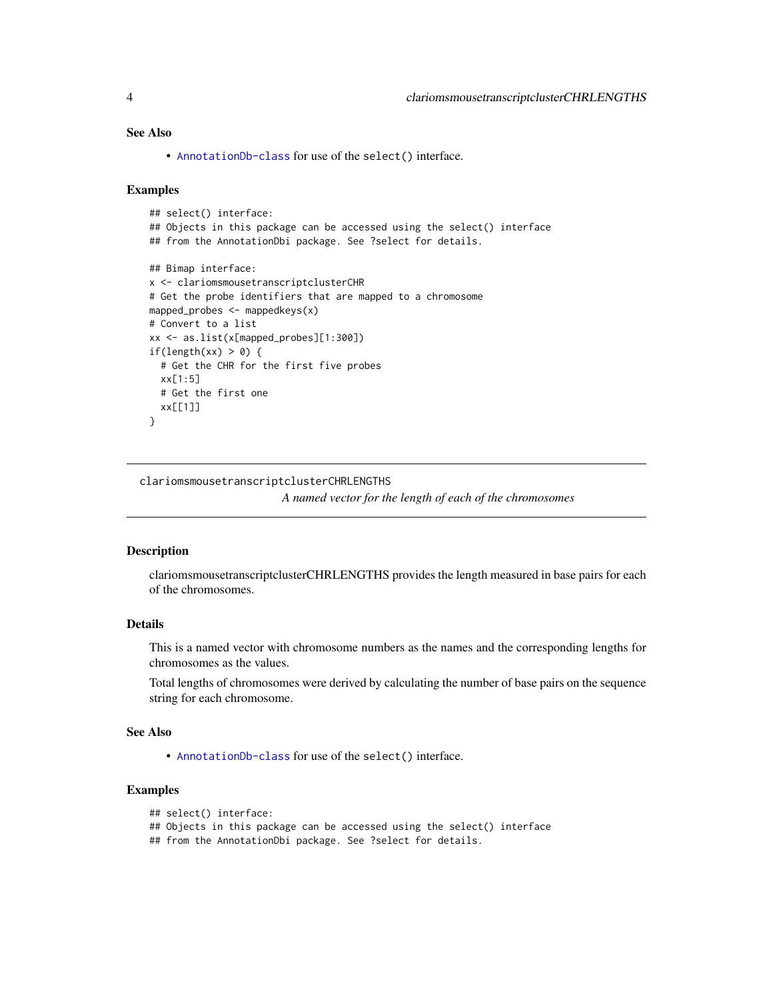## <span id="page-3-0"></span>See Also

• [AnnotationDb-class](#page-0-0) for use of the select() interface.

## Examples

```
## select() interface:
## Objects in this package can be accessed using the select() interface
## from the AnnotationDbi package. See ?select for details.
## Bimap interface:
x <- clariomsmousetranscriptclusterCHR
# Get the probe identifiers that are mapped to a chromosome
mapped_probes <- mappedkeys(x)
# Convert to a list
xx <- as.list(x[mapped_probes][1:300])
if(length(xx) > 0) {
  # Get the CHR for the first five probes
  xx[1:5]
  # Get the first one
  xx[[1]]
}
```
clariomsmousetranscriptclusterCHRLENGTHS

*A named vector for the length of each of the chromosomes*

## Description

clariomsmousetranscriptclusterCHRLENGTHS provides the length measured in base pairs for each of the chromosomes.

## Details

This is a named vector with chromosome numbers as the names and the corresponding lengths for chromosomes as the values.

Total lengths of chromosomes were derived by calculating the number of base pairs on the sequence string for each chromosome.

## See Also

• [AnnotationDb-class](#page-0-0) for use of the select() interface.

## Examples

```
## select() interface:
```

```
## Objects in this package can be accessed using the select() interface
```
## from the AnnotationDbi package. See ?select for details.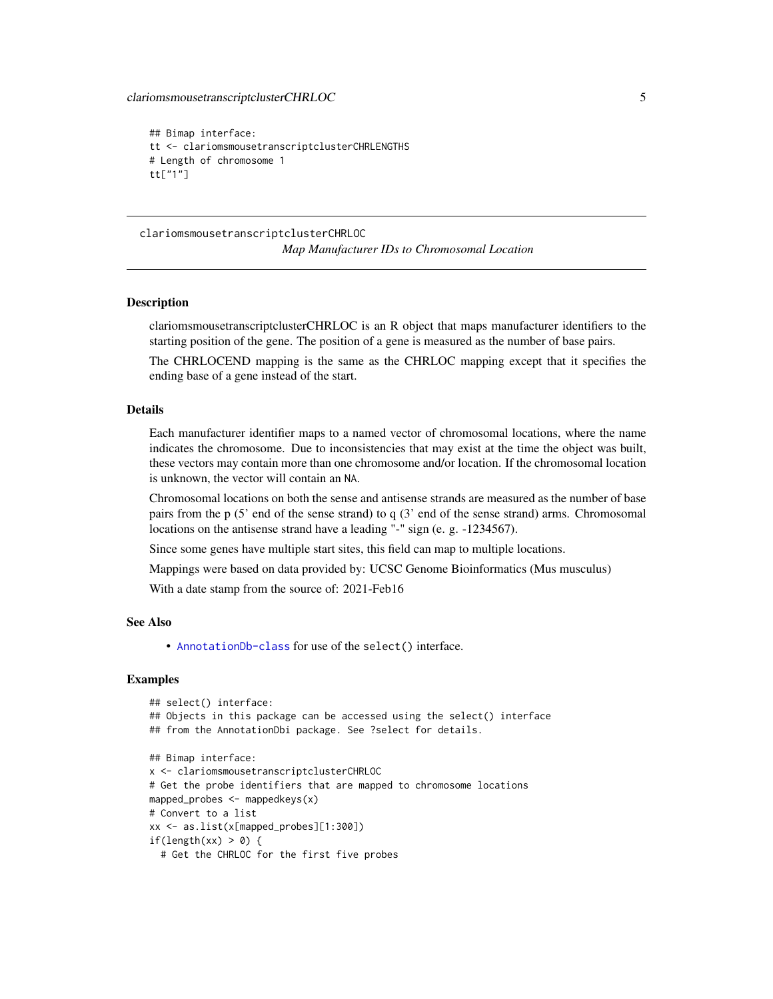```
## Bimap interface:
tt <- clariomsmousetranscriptclusterCHRLENGTHS
# Length of chromosome 1
tt["1"]
```
clariomsmousetranscriptclusterCHRLOC *Map Manufacturer IDs to Chromosomal Location*

#### Description

clariomsmousetranscriptclusterCHRLOC is an R object that maps manufacturer identifiers to the starting position of the gene. The position of a gene is measured as the number of base pairs.

The CHRLOCEND mapping is the same as the CHRLOC mapping except that it specifies the ending base of a gene instead of the start.

## Details

Each manufacturer identifier maps to a named vector of chromosomal locations, where the name indicates the chromosome. Due to inconsistencies that may exist at the time the object was built, these vectors may contain more than one chromosome and/or location. If the chromosomal location is unknown, the vector will contain an NA.

Chromosomal locations on both the sense and antisense strands are measured as the number of base pairs from the p (5' end of the sense strand) to q (3' end of the sense strand) arms. Chromosomal locations on the antisense strand have a leading "-" sign (e. g. -1234567).

Since some genes have multiple start sites, this field can map to multiple locations.

Mappings were based on data provided by: UCSC Genome Bioinformatics (Mus musculus)

With a date stamp from the source of: 2021-Feb16

## See Also

• [AnnotationDb-class](#page-0-0) for use of the select() interface.

```
## select() interface:
## Objects in this package can be accessed using the select() interface
## from the AnnotationDbi package. See ?select for details.
## Bimap interface:
x <- clariomsmousetranscriptclusterCHRLOC
# Get the probe identifiers that are mapped to chromosome locations
mapped_probes <- mappedkeys(x)
# Convert to a list
xx <- as.list(x[mapped_probes][1:300])
if(length(xx) > 0) {
 # Get the CHRLOC for the first five probes
```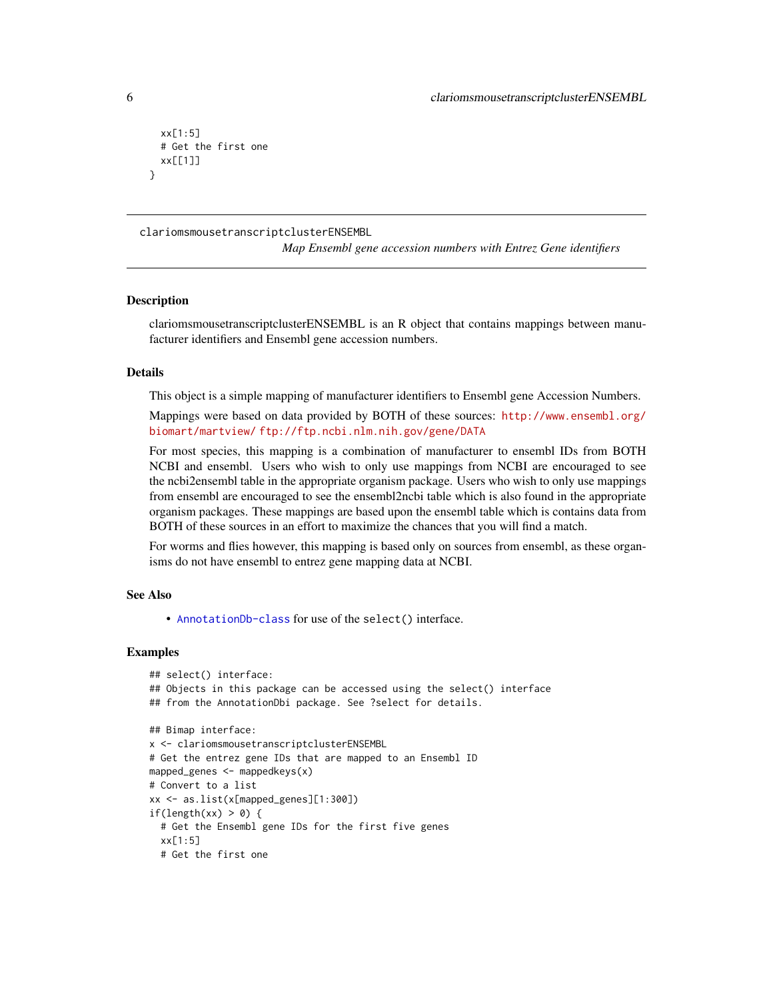```
xx[1:5]
 # Get the first one
 xx[[1]]
}
```
clariomsmousetranscriptclusterENSEMBL

*Map Ensembl gene accession numbers with Entrez Gene identifiers*

#### **Description**

clariomsmousetranscriptclusterENSEMBL is an R object that contains mappings between manufacturer identifiers and Ensembl gene accession numbers.

#### Details

This object is a simple mapping of manufacturer identifiers to Ensembl gene Accession Numbers.

Mappings were based on data provided by BOTH of these sources: [http://www.ensembl.org/](http://www.ensembl.org/biomart/martview/) [biomart/martview/](http://www.ensembl.org/biomart/martview/) <ftp://ftp.ncbi.nlm.nih.gov/gene/DATA>

For most species, this mapping is a combination of manufacturer to ensembl IDs from BOTH NCBI and ensembl. Users who wish to only use mappings from NCBI are encouraged to see the ncbi2ensembl table in the appropriate organism package. Users who wish to only use mappings from ensembl are encouraged to see the ensembl2ncbi table which is also found in the appropriate organism packages. These mappings are based upon the ensembl table which is contains data from BOTH of these sources in an effort to maximize the chances that you will find a match.

For worms and flies however, this mapping is based only on sources from ensembl, as these organisms do not have ensembl to entrez gene mapping data at NCBI.

#### See Also

• [AnnotationDb-class](#page-0-0) for use of the select() interface.

```
## select() interface:
## Objects in this package can be accessed using the select() interface
## from the AnnotationDbi package. See ?select for details.
## Bimap interface:
x <- clariomsmousetranscriptclusterENSEMBL
# Get the entrez gene IDs that are mapped to an Ensembl ID
mapped_genes <- mappedkeys(x)
# Convert to a list
xx <- as.list(x[mapped_genes][1:300])
if(length(xx) > 0) {
 # Get the Ensembl gene IDs for the first five genes
 xx[1:5]
 # Get the first one
```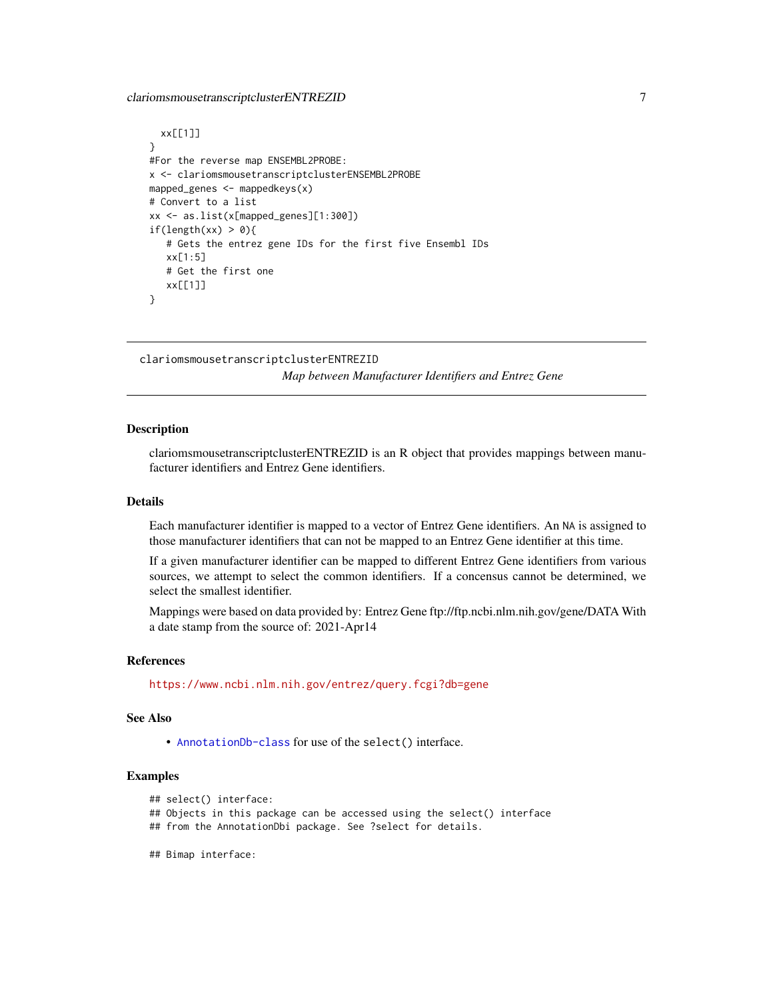## <span id="page-6-0"></span>clariomsmousetranscriptclusterENTREZID 7

```
xx[[1]]
}
#For the reverse map ENSEMBL2PROBE:
x <- clariomsmousetranscriptclusterENSEMBL2PROBE
mapped_genes <- mappedkeys(x)
# Convert to a list
xx <- as.list(x[mapped_genes][1:300])
if(length(xx) > 0){
   # Gets the entrez gene IDs for the first five Ensembl IDs
   xx[1:5]
   # Get the first one
   xx[[1]]
}
```
clariomsmousetranscriptclusterENTREZID *Map between Manufacturer Identifiers and Entrez Gene*

## Description

clariomsmousetranscriptclusterENTREZID is an R object that provides mappings between manufacturer identifiers and Entrez Gene identifiers.

## Details

Each manufacturer identifier is mapped to a vector of Entrez Gene identifiers. An NA is assigned to those manufacturer identifiers that can not be mapped to an Entrez Gene identifier at this time.

If a given manufacturer identifier can be mapped to different Entrez Gene identifiers from various sources, we attempt to select the common identifiers. If a concensus cannot be determined, we select the smallest identifier.

Mappings were based on data provided by: Entrez Gene ftp://ftp.ncbi.nlm.nih.gov/gene/DATA With a date stamp from the source of: 2021-Apr14

#### References

<https://www.ncbi.nlm.nih.gov/entrez/query.fcgi?db=gene>

## See Also

• [AnnotationDb-class](#page-0-0) for use of the select() interface.

## Examples

```
## select() interface:
```
## Objects in this package can be accessed using the select() interface

- ## from the AnnotationDbi package. See ?select for details.
- ## Bimap interface: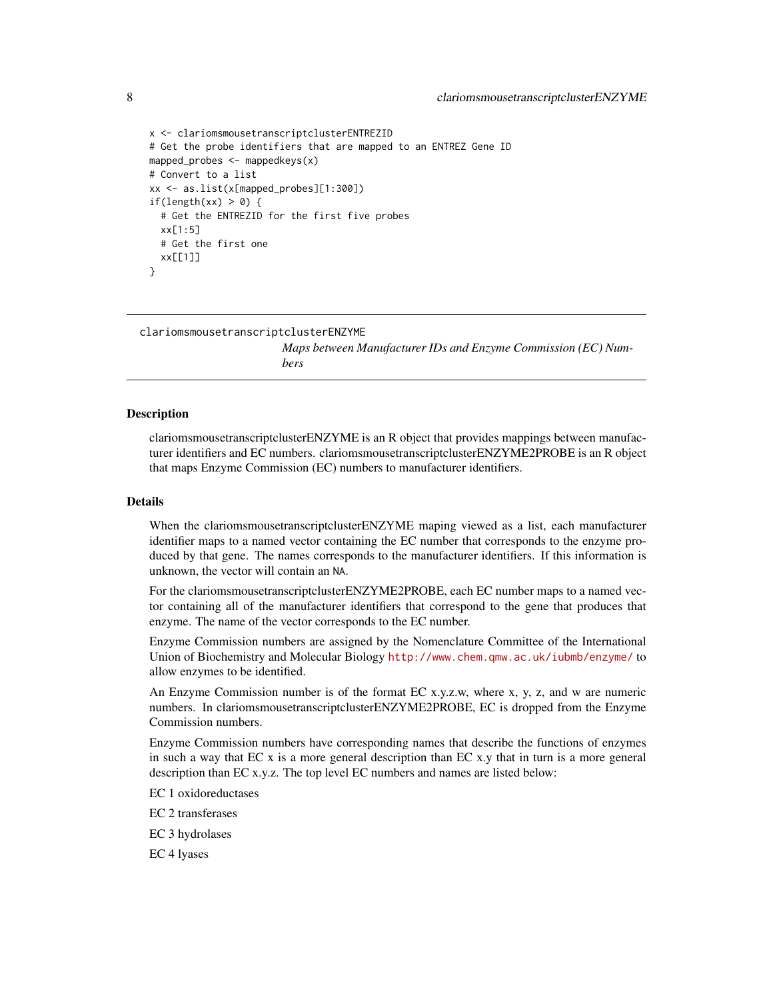```
x <- clariomsmousetranscriptclusterENTREZID
# Get the probe identifiers that are mapped to an ENTREZ Gene ID
mapped_probes <- mappedkeys(x)
# Convert to a list
xx <- as.list(x[mapped_probes][1:300])
if(length(xx) > 0) {
 # Get the ENTREZID for the first five probes
 xx[1:5]
 # Get the first one
 xx[[1]]
}
```
clariomsmousetranscriptclusterENZYME

*Maps between Manufacturer IDs and Enzyme Commission (EC) Numbers*

## Description

clariomsmousetranscriptclusterENZYME is an R object that provides mappings between manufacturer identifiers and EC numbers. clariomsmousetranscriptclusterENZYME2PROBE is an R object that maps Enzyme Commission (EC) numbers to manufacturer identifiers.

#### Details

When the clariomsmousetranscriptclusterENZYME maping viewed as a list, each manufacturer identifier maps to a named vector containing the EC number that corresponds to the enzyme produced by that gene. The names corresponds to the manufacturer identifiers. If this information is unknown, the vector will contain an NA.

For the clariomsmousetranscriptclusterENZYME2PROBE, each EC number maps to a named vector containing all of the manufacturer identifiers that correspond to the gene that produces that enzyme. The name of the vector corresponds to the EC number.

Enzyme Commission numbers are assigned by the Nomenclature Committee of the International Union of Biochemistry and Molecular Biology <http://www.chem.qmw.ac.uk/iubmb/enzyme/> to allow enzymes to be identified.

An Enzyme Commission number is of the format EC x.y.z.w, where x, y, z, and w are numeric numbers. In clariomsmousetranscriptclusterENZYME2PROBE, EC is dropped from the Enzyme Commission numbers.

Enzyme Commission numbers have corresponding names that describe the functions of enzymes in such a way that  $ECx$  is a more general description than  $ECx$ , y that in turn is a more general description than EC x.y.z. The top level EC numbers and names are listed below:

EC 1 oxidoreductases

EC 2 transferases

EC 3 hydrolases

EC 4 lyases

<span id="page-7-0"></span>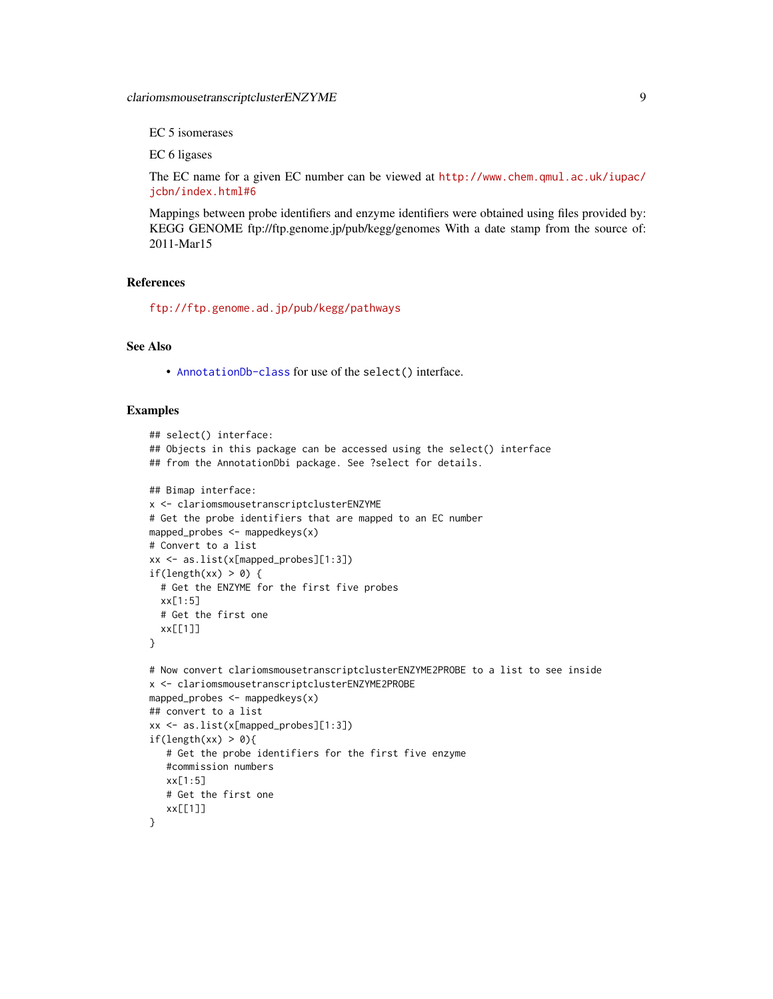EC 5 isomerases

EC 6 ligases

The EC name for a given EC number can be viewed at [http://www.chem.qmul.ac.uk/iupac/](http://www.chem.qmul.ac.uk/iupac/jcbn/index.html#6) [jcbn/index.html#6](http://www.chem.qmul.ac.uk/iupac/jcbn/index.html#6)

Mappings between probe identifiers and enzyme identifiers were obtained using files provided by: KEGG GENOME ftp://ftp.genome.jp/pub/kegg/genomes With a date stamp from the source of: 2011-Mar15

## References

<ftp://ftp.genome.ad.jp/pub/kegg/pathways>

## See Also

• [AnnotationDb-class](#page-0-0) for use of the select() interface.

```
## select() interface:
## Objects in this package can be accessed using the select() interface
## from the AnnotationDbi package. See ?select for details.
## Bimap interface:
x <- clariomsmousetranscriptclusterENZYME
# Get the probe identifiers that are mapped to an EC number
mapped_probes <- mappedkeys(x)
# Convert to a list
xx <- as.list(x[mapped_probes][1:3])
if(length(xx) > 0) {
  # Get the ENZYME for the first five probes
  xx[1:5]
  # Get the first one
  xx[[1]]
}
# Now convert clariomsmousetranscriptclusterENZYME2PROBE to a list to see inside
x <- clariomsmousetranscriptclusterENZYME2PROBE
mapped_probes <- mappedkeys(x)
## convert to a list
xx <- as.list(x[mapped_probes][1:3])
if(length(xx) > 0){
   # Get the probe identifiers for the first five enzyme
   #commission numbers
   xx[1:5]
   # Get the first one
   xx[[1]]
}
```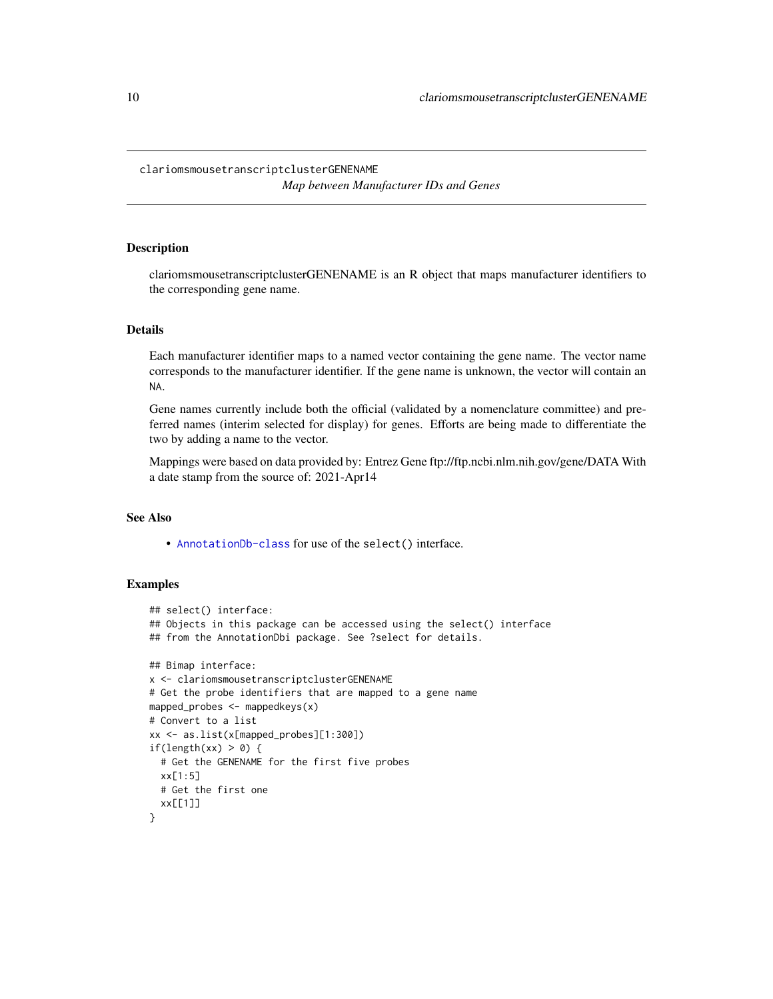## <span id="page-9-0"></span>clariomsmousetranscriptclusterGENENAME *Map between Manufacturer IDs and Genes*

## Description

clariomsmousetranscriptclusterGENENAME is an R object that maps manufacturer identifiers to the corresponding gene name.

#### Details

Each manufacturer identifier maps to a named vector containing the gene name. The vector name corresponds to the manufacturer identifier. If the gene name is unknown, the vector will contain an NA.

Gene names currently include both the official (validated by a nomenclature committee) and preferred names (interim selected for display) for genes. Efforts are being made to differentiate the two by adding a name to the vector.

Mappings were based on data provided by: Entrez Gene ftp://ftp.ncbi.nlm.nih.gov/gene/DATA With a date stamp from the source of: 2021-Apr14

## See Also

• [AnnotationDb-class](#page-0-0) for use of the select() interface.

```
## select() interface:
## Objects in this package can be accessed using the select() interface
## from the AnnotationDbi package. See ?select for details.
## Bimap interface:
x <- clariomsmousetranscriptclusterGENENAME
# Get the probe identifiers that are mapped to a gene name
mapped_probes <- mappedkeys(x)
# Convert to a list
xx <- as.list(x[mapped_probes][1:300])
if(length(xx) > 0) {
  # Get the GENENAME for the first five probes
  xx[1:5]
  # Get the first one
  xx[[1]]
}
```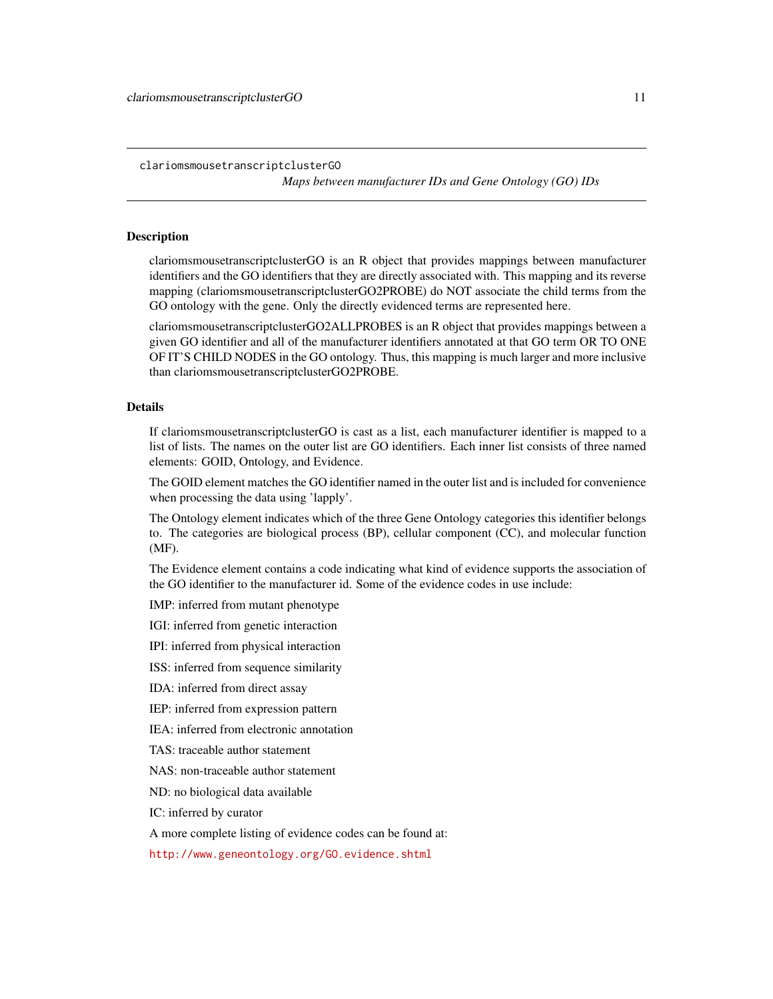<span id="page-10-1"></span>clariomsmousetranscriptclusterGO

*Maps between manufacturer IDs and Gene Ontology (GO) IDs*

## <span id="page-10-0"></span>Description

clariomsmousetranscriptclusterGO is an R object that provides mappings between manufacturer identifiers and the GO identifiers that they are directly associated with. This mapping and its reverse mapping (clariomsmousetranscriptclusterGO2PROBE) do NOT associate the child terms from the GO ontology with the gene. Only the directly evidenced terms are represented here.

clariomsmousetranscriptclusterGO2ALLPROBES is an R object that provides mappings between a given GO identifier and all of the manufacturer identifiers annotated at that GO term OR TO ONE OF IT'S CHILD NODES in the GO ontology. Thus, this mapping is much larger and more inclusive than clariomsmousetranscriptclusterGO2PROBE.

#### Details

If clariomsmousetranscriptclusterGO is cast as a list, each manufacturer identifier is mapped to a list of lists. The names on the outer list are GO identifiers. Each inner list consists of three named elements: GOID, Ontology, and Evidence.

The GOID element matches the GO identifier named in the outer list and is included for convenience when processing the data using 'lapply'.

The Ontology element indicates which of the three Gene Ontology categories this identifier belongs to. The categories are biological process (BP), cellular component (CC), and molecular function (MF).

The Evidence element contains a code indicating what kind of evidence supports the association of the GO identifier to the manufacturer id. Some of the evidence codes in use include:

IMP: inferred from mutant phenotype

IGI: inferred from genetic interaction

IPI: inferred from physical interaction

ISS: inferred from sequence similarity

IDA: inferred from direct assay

IEP: inferred from expression pattern

IEA: inferred from electronic annotation

TAS: traceable author statement

NAS: non-traceable author statement

ND: no biological data available

IC: inferred by curator

A more complete listing of evidence codes can be found at:

<http://www.geneontology.org/GO.evidence.shtml>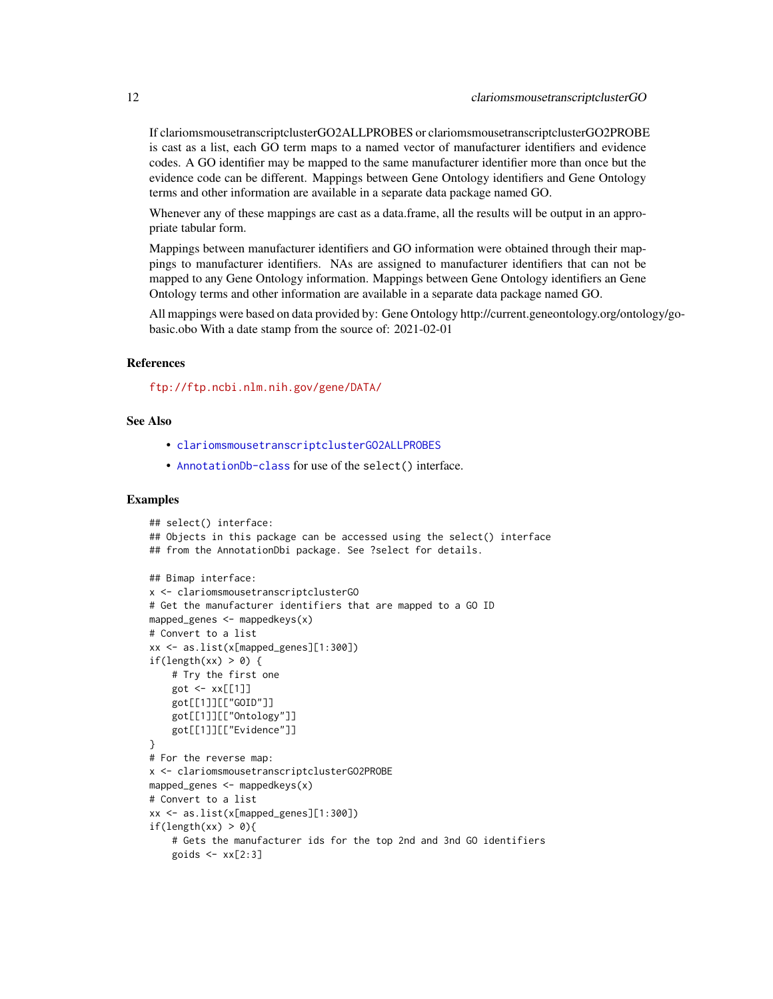<span id="page-11-0"></span>If clariomsmousetranscriptclusterGO2ALLPROBES or clariomsmousetranscriptclusterGO2PROBE is cast as a list, each GO term maps to a named vector of manufacturer identifiers and evidence codes. A GO identifier may be mapped to the same manufacturer identifier more than once but the evidence code can be different. Mappings between Gene Ontology identifiers and Gene Ontology terms and other information are available in a separate data package named GO.

Whenever any of these mappings are cast as a data.frame, all the results will be output in an appropriate tabular form.

Mappings between manufacturer identifiers and GO information were obtained through their mappings to manufacturer identifiers. NAs are assigned to manufacturer identifiers that can not be mapped to any Gene Ontology information. Mappings between Gene Ontology identifiers an Gene Ontology terms and other information are available in a separate data package named GO.

All mappings were based on data provided by: Gene Ontology http://current.geneontology.org/ontology/gobasic.obo With a date stamp from the source of: 2021-02-01

## References

<ftp://ftp.ncbi.nlm.nih.gov/gene/DATA/>

## See Also

- [clariomsmousetranscriptclusterGO2ALLPROBES](#page-10-0)
- [AnnotationDb-class](#page-0-0) for use of the select() interface.

```
## select() interface:
## Objects in this package can be accessed using the select() interface
## from the AnnotationDbi package. See ?select for details.
## Bimap interface:
x <- clariomsmousetranscriptclusterGO
# Get the manufacturer identifiers that are mapped to a GO ID
mapped_genes <- mappedkeys(x)
# Convert to a list
xx <- as.list(x[mapped_genes][1:300])
if(length(xx) > 0) {
    # Try the first one
    got \leftarrow xx[[1]]got[[1]][["GOID"]]
    got[[1]][["Ontology"]]
    got[[1]][["Evidence"]]
}
# For the reverse map:
x <- clariomsmousetranscriptclusterGO2PROBE
mapped_genes <- mappedkeys(x)
# Convert to a list
xx <- as.list(x[mapped_genes][1:300])
if(length(xx) > 0){
    # Gets the manufacturer ids for the top 2nd and 3nd GO identifiers
    goids \leq -x \times [2:3]
```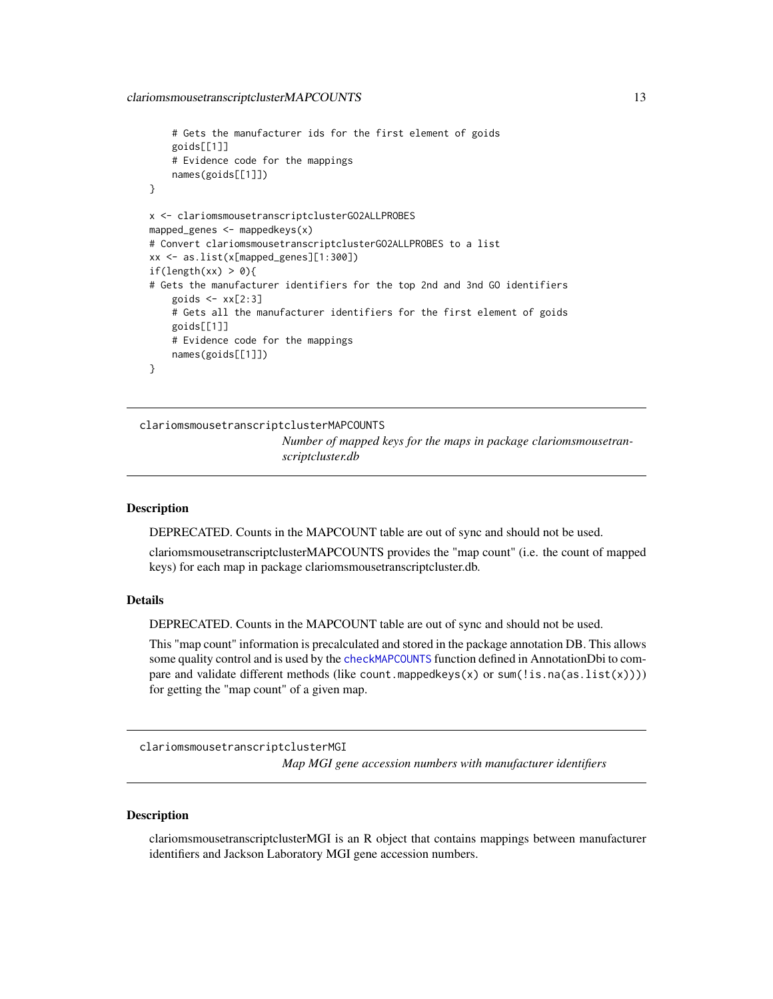```
# Gets the manufacturer ids for the first element of goids
    goids[[1]]
    # Evidence code for the mappings
   names(goids[[1]])
}
x <- clariomsmousetranscriptclusterGO2ALLPROBES
mapped_genes \leq mappedkeys(x)
# Convert clariomsmousetranscriptclusterGO2ALLPROBES to a list
xx <- as.list(x[mapped_genes][1:300])
if(length(xx) > 0){
# Gets the manufacturer identifiers for the top 2nd and 3nd GO identifiers
    goids \leq -x \times [2:3]# Gets all the manufacturer identifiers for the first element of goids
   goids[[1]]
    # Evidence code for the mappings
   names(goids[[1]])
}
```
clariomsmousetranscriptclusterMAPCOUNTS

*Number of mapped keys for the maps in package clariomsmousetranscriptcluster.db*

#### Description

DEPRECATED. Counts in the MAPCOUNT table are out of sync and should not be used.

clariomsmousetranscriptclusterMAPCOUNTS provides the "map count" (i.e. the count of mapped keys) for each map in package clariomsmousetranscriptcluster.db.

## Details

DEPRECATED. Counts in the MAPCOUNT table are out of sync and should not be used.

This "map count" information is precalculated and stored in the package annotation DB. This allows some quality control and is used by the [checkMAPCOUNTS](#page-0-0) function defined in AnnotationDbi to compare and validate different methods (like count.mappedkeys $(x)$  or sum(!is.na(as.list(x)))) for getting the "map count" of a given map.

clariomsmousetranscriptclusterMGI *Map MGI gene accession numbers with manufacturer identifiers*

## **Description**

clariomsmousetranscriptclusterMGI is an R object that contains mappings between manufacturer identifiers and Jackson Laboratory MGI gene accession numbers.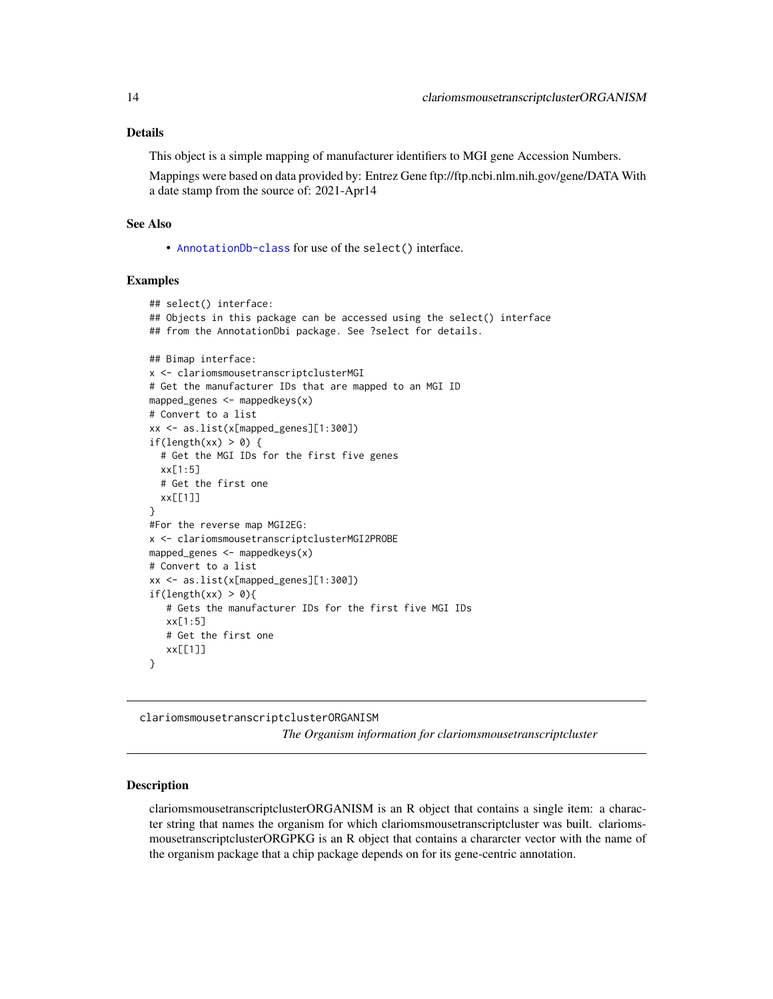## <span id="page-13-0"></span>Details

This object is a simple mapping of manufacturer identifiers to MGI gene Accession Numbers.

Mappings were based on data provided by: Entrez Gene ftp://ftp.ncbi.nlm.nih.gov/gene/DATA With a date stamp from the source of: 2021-Apr14

## See Also

• [AnnotationDb-class](#page-0-0) for use of the select() interface.

## Examples

```
## select() interface:
## Objects in this package can be accessed using the select() interface
## from the AnnotationDbi package. See ?select for details.
## Bimap interface:
x <- clariomsmousetranscriptclusterMGI
# Get the manufacturer IDs that are mapped to an MGI ID
mapped_genes <- mappedkeys(x)
# Convert to a list
xx <- as.list(x[mapped_genes][1:300])
if(length(xx) > 0) {
  # Get the MGI IDs for the first five genes
  xx[1:5]
  # Get the first one
  xx[[1]]
}
#For the reverse map MGI2EG:
x <- clariomsmousetranscriptclusterMGI2PROBE
mapped_genes \leq mappedkeys(x)
# Convert to a list
xx <- as.list(x[mapped_genes][1:300])
if(length(xx) > 0){
   # Gets the manufacturer IDs for the first five MGI IDs
   xx[1:5]
   # Get the first one
   xx[[1]]
}
```
clariomsmousetranscriptclusterORGANISM

*The Organism information for clariomsmousetranscriptcluster*

## Description

clariomsmousetranscriptclusterORGANISM is an R object that contains a single item: a character string that names the organism for which clariomsmousetranscriptcluster was built. clariomsmousetranscriptclusterORGPKG is an R object that contains a chararcter vector with the name of the organism package that a chip package depends on for its gene-centric annotation.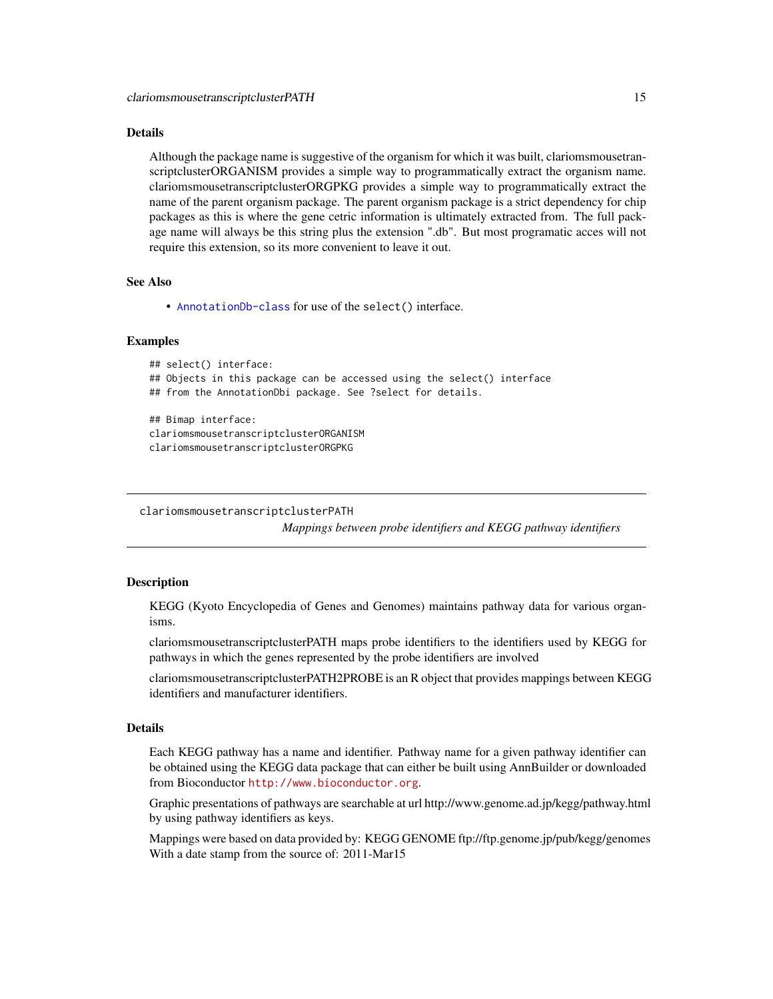#### <span id="page-14-0"></span>Details

Although the package name is suggestive of the organism for which it was built, clariomsmousetranscriptclusterORGANISM provides a simple way to programmatically extract the organism name. clariomsmousetranscriptclusterORGPKG provides a simple way to programmatically extract the name of the parent organism package. The parent organism package is a strict dependency for chip packages as this is where the gene cetric information is ultimately extracted from. The full package name will always be this string plus the extension ".db". But most programatic acces will not require this extension, so its more convenient to leave it out.

## See Also

• [AnnotationDb-class](#page-0-0) for use of the select() interface.

## Examples

```
## select() interface:
## Objects in this package can be accessed using the select() interface
## from the AnnotationDbi package. See ?select for details.
## Bimap interface:
clariomsmousetranscriptclusterORGANISM
clariomsmousetranscriptclusterORGPKG
```

```
clariomsmousetranscriptclusterPATH
```
*Mappings between probe identifiers and KEGG pathway identifiers*

## Description

KEGG (Kyoto Encyclopedia of Genes and Genomes) maintains pathway data for various organisms.

clariomsmousetranscriptclusterPATH maps probe identifiers to the identifiers used by KEGG for pathways in which the genes represented by the probe identifiers are involved

clariomsmousetranscriptclusterPATH2PROBE is an R object that provides mappings between KEGG identifiers and manufacturer identifiers.

## Details

Each KEGG pathway has a name and identifier. Pathway name for a given pathway identifier can be obtained using the KEGG data package that can either be built using AnnBuilder or downloaded from Bioconductor <http://www.bioconductor.org>.

Graphic presentations of pathways are searchable at url http://www.genome.ad.jp/kegg/pathway.html by using pathway identifiers as keys.

Mappings were based on data provided by: KEGG GENOME ftp://ftp.genome.jp/pub/kegg/genomes With a date stamp from the source of: 2011-Mar15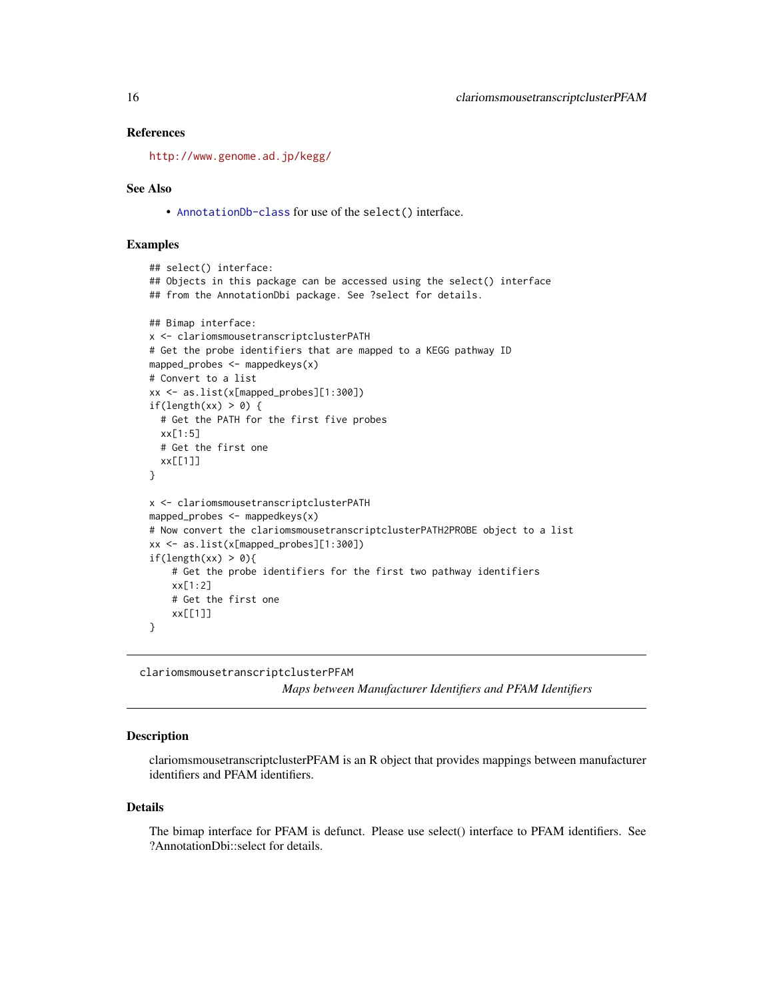## <span id="page-15-0"></span>References

<http://www.genome.ad.jp/kegg/>

## See Also

• [AnnotationDb-class](#page-0-0) for use of the select() interface.

## Examples

```
## select() interface:
## Objects in this package can be accessed using the select() interface
## from the AnnotationDbi package. See ?select for details.
## Bimap interface:
x <- clariomsmousetranscriptclusterPATH
# Get the probe identifiers that are mapped to a KEGG pathway ID
mapped_probes <- mappedkeys(x)
# Convert to a list
xx <- as.list(x[mapped_probes][1:300])
if(length(xx) > 0) {
  # Get the PATH for the first five probes
  xx[1:5]
  # Get the first one
  xx[[1]]
}
x <- clariomsmousetranscriptclusterPATH
mapped_probes <- mappedkeys(x)
# Now convert the clariomsmousetranscriptclusterPATH2PROBE object to a list
xx <- as.list(x[mapped_probes][1:300])
if(length(xx) > 0){
    # Get the probe identifiers for the first two pathway identifiers
    xx[1:2]
    # Get the first one
    xx[[1]]
}
```
clariomsmousetranscriptclusterPFAM

*Maps between Manufacturer Identifiers and PFAM Identifiers*

## **Description**

clariomsmousetranscriptclusterPFAM is an R object that provides mappings between manufacturer identifiers and PFAM identifiers.

#### Details

The bimap interface for PFAM is defunct. Please use select() interface to PFAM identifiers. See ?AnnotationDbi::select for details.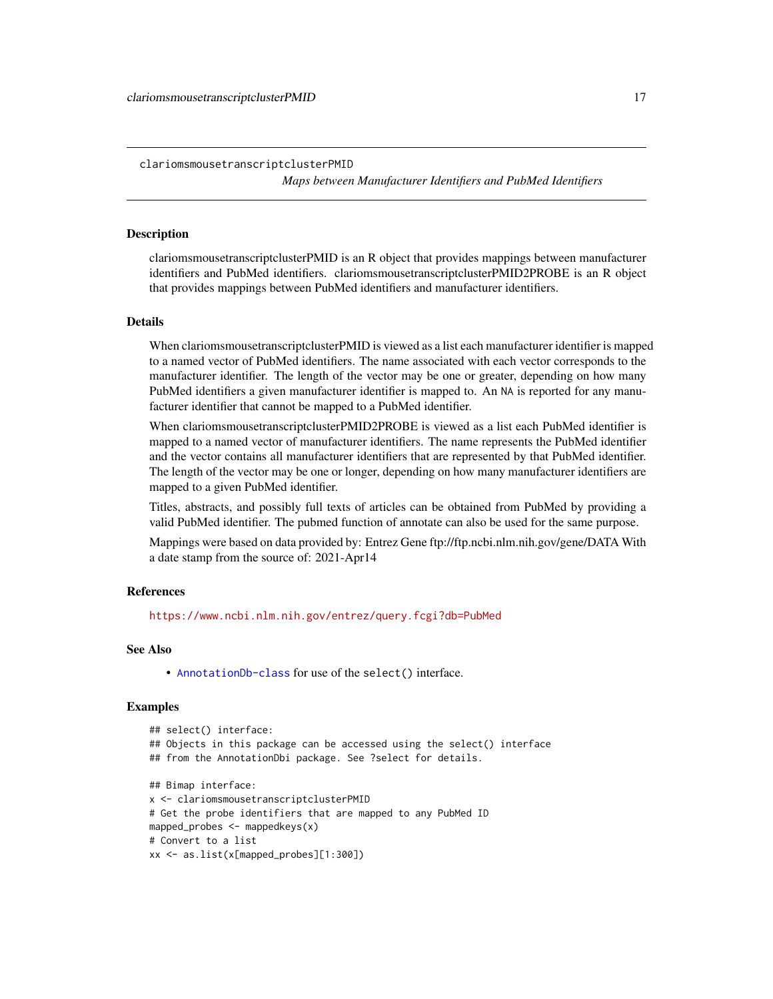<span id="page-16-0"></span>clariomsmousetranscriptclusterPMID *Maps between Manufacturer Identifiers and PubMed Identifiers*

## **Description**

clariomsmousetranscriptclusterPMID is an R object that provides mappings between manufacturer identifiers and PubMed identifiers. clariomsmousetranscriptclusterPMID2PROBE is an R object that provides mappings between PubMed identifiers and manufacturer identifiers.

#### Details

When clariomsmousetranscriptclusterPMID is viewed as a list each manufacturer identifier is mapped to a named vector of PubMed identifiers. The name associated with each vector corresponds to the manufacturer identifier. The length of the vector may be one or greater, depending on how many PubMed identifiers a given manufacturer identifier is mapped to. An NA is reported for any manufacturer identifier that cannot be mapped to a PubMed identifier.

When clariomsmousetranscriptclusterPMID2PROBE is viewed as a list each PubMed identifier is mapped to a named vector of manufacturer identifiers. The name represents the PubMed identifier and the vector contains all manufacturer identifiers that are represented by that PubMed identifier. The length of the vector may be one or longer, depending on how many manufacturer identifiers are mapped to a given PubMed identifier.

Titles, abstracts, and possibly full texts of articles can be obtained from PubMed by providing a valid PubMed identifier. The pubmed function of annotate can also be used for the same purpose.

Mappings were based on data provided by: Entrez Gene ftp://ftp.ncbi.nlm.nih.gov/gene/DATA With a date stamp from the source of: 2021-Apr14

#### References

<https://www.ncbi.nlm.nih.gov/entrez/query.fcgi?db=PubMed>

#### See Also

• [AnnotationDb-class](#page-0-0) for use of the select() interface.

```
## select() interface:
## Objects in this package can be accessed using the select() interface
## from the AnnotationDbi package. See ?select for details.
## Bimap interface:
x <- clariomsmousetranscriptclusterPMID
# Get the probe identifiers that are mapped to any PubMed ID
mapped_probes <- mappedkeys(x)
# Convert to a list
xx <- as.list(x[mapped_probes][1:300])
```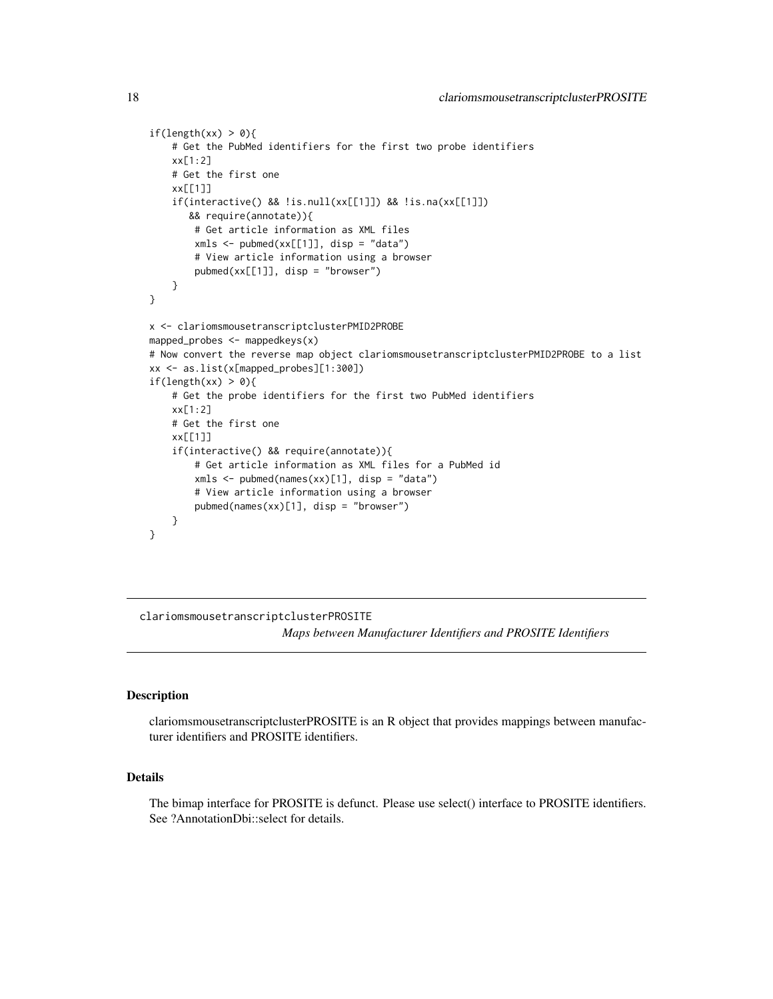```
if(length(xx) > 0){
    # Get the PubMed identifiers for the first two probe identifiers
   xx[1:2]
   # Get the first one
   xx[[1]]
    if(interactive() && !is.null(xx[[1]]) && !is.na(xx[[1]])
      && require(annotate)){
       # Get article information as XML files
       xmls < -pubmed(xx[[1]], disp = "data")# View article information using a browser
       pubmed(xx[[1]], disp = "browser")
    }
}
x <- clariomsmousetranscriptclusterPMID2PROBE
mapped_probes <- mappedkeys(x)
# Now convert the reverse map object clariomsmousetranscriptclusterPMID2PROBE to a list
xx <- as.list(x[mapped_probes][1:300])
if(length(xx) > 0){
    # Get the probe identifiers for the first two PubMed identifiers
   xx[1:2]
    # Get the first one
   xx[[1]]
    if(interactive() && require(annotate)){
       # Get article information as XML files for a PubMed id
       xmls < -pubmed(names(xx)[1], disp = "data")# View article information using a browser
       pubmed(names(xx)[1], disp = "browser")
   }
}
```
clariomsmousetranscriptclusterPROSITE

*Maps between Manufacturer Identifiers and PROSITE Identifiers*

## **Description**

clariomsmousetranscriptclusterPROSITE is an R object that provides mappings between manufacturer identifiers and PROSITE identifiers.

## Details

The bimap interface for PROSITE is defunct. Please use select() interface to PROSITE identifiers. See ?AnnotationDbi::select for details.

<span id="page-17-0"></span>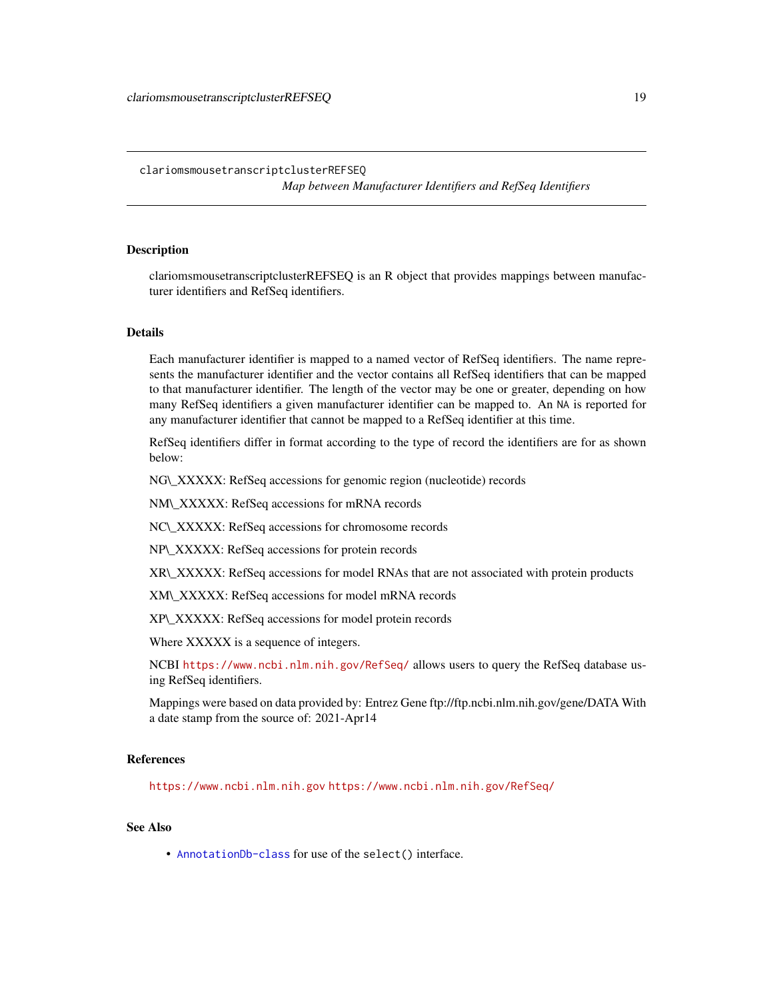## <span id="page-18-0"></span>clariomsmousetranscriptclusterREFSEQ

*Map between Manufacturer Identifiers and RefSeq Identifiers*

## Description

clariomsmousetranscriptclusterREFSEQ is an R object that provides mappings between manufacturer identifiers and RefSeq identifiers.

## Details

Each manufacturer identifier is mapped to a named vector of RefSeq identifiers. The name represents the manufacturer identifier and the vector contains all RefSeq identifiers that can be mapped to that manufacturer identifier. The length of the vector may be one or greater, depending on how many RefSeq identifiers a given manufacturer identifier can be mapped to. An NA is reported for any manufacturer identifier that cannot be mapped to a RefSeq identifier at this time.

RefSeq identifiers differ in format according to the type of record the identifiers are for as shown below:

NG\\_XXXXX: RefSeq accessions for genomic region (nucleotide) records

NM\\_XXXXX: RefSeq accessions for mRNA records

NC\\_XXXXX: RefSeq accessions for chromosome records

NP\\_XXXXX: RefSeq accessions for protein records

XR\\_XXXXX: RefSeq accessions for model RNAs that are not associated with protein products

XM\\_XXXXX: RefSeq accessions for model mRNA records

XP\\_XXXXX: RefSeq accessions for model protein records

Where XXXXX is a sequence of integers.

NCBI <https://www.ncbi.nlm.nih.gov/RefSeq/> allows users to query the RefSeq database using RefSeq identifiers.

Mappings were based on data provided by: Entrez Gene ftp://ftp.ncbi.nlm.nih.gov/gene/DATA With a date stamp from the source of: 2021-Apr14

#### References

<https://www.ncbi.nlm.nih.gov> <https://www.ncbi.nlm.nih.gov/RefSeq/>

## See Also

• [AnnotationDb-class](#page-0-0) for use of the select() interface.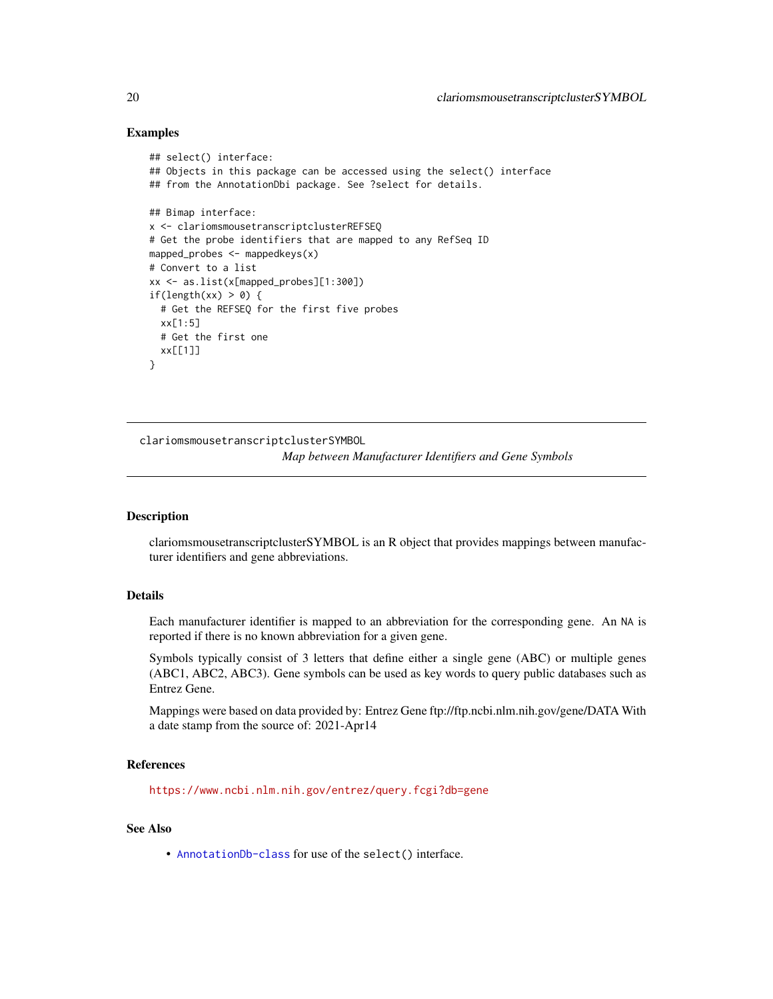## Examples

```
## select() interface:
## Objects in this package can be accessed using the select() interface
## from the AnnotationDbi package. See ?select for details.
## Bimap interface:
x <- clariomsmousetranscriptclusterREFSEQ
# Get the probe identifiers that are mapped to any RefSeq ID
mapped_probes <- mappedkeys(x)
# Convert to a list
xx <- as.list(x[mapped_probes][1:300])
if(length(xx) > 0) {
  # Get the REFSEQ for the first five probes
  xx[1:5]
  # Get the first one
  xx[[1]]
}
```
clariomsmousetranscriptclusterSYMBOL

*Map between Manufacturer Identifiers and Gene Symbols*

## Description

clariomsmousetranscriptclusterSYMBOL is an R object that provides mappings between manufacturer identifiers and gene abbreviations.

## Details

Each manufacturer identifier is mapped to an abbreviation for the corresponding gene. An NA is reported if there is no known abbreviation for a given gene.

Symbols typically consist of 3 letters that define either a single gene (ABC) or multiple genes (ABC1, ABC2, ABC3). Gene symbols can be used as key words to query public databases such as Entrez Gene.

Mappings were based on data provided by: Entrez Gene ftp://ftp.ncbi.nlm.nih.gov/gene/DATA With a date stamp from the source of: 2021-Apr14

## References

<https://www.ncbi.nlm.nih.gov/entrez/query.fcgi?db=gene>

## See Also

• [AnnotationDb-class](#page-0-0) for use of the select() interface.

<span id="page-19-0"></span>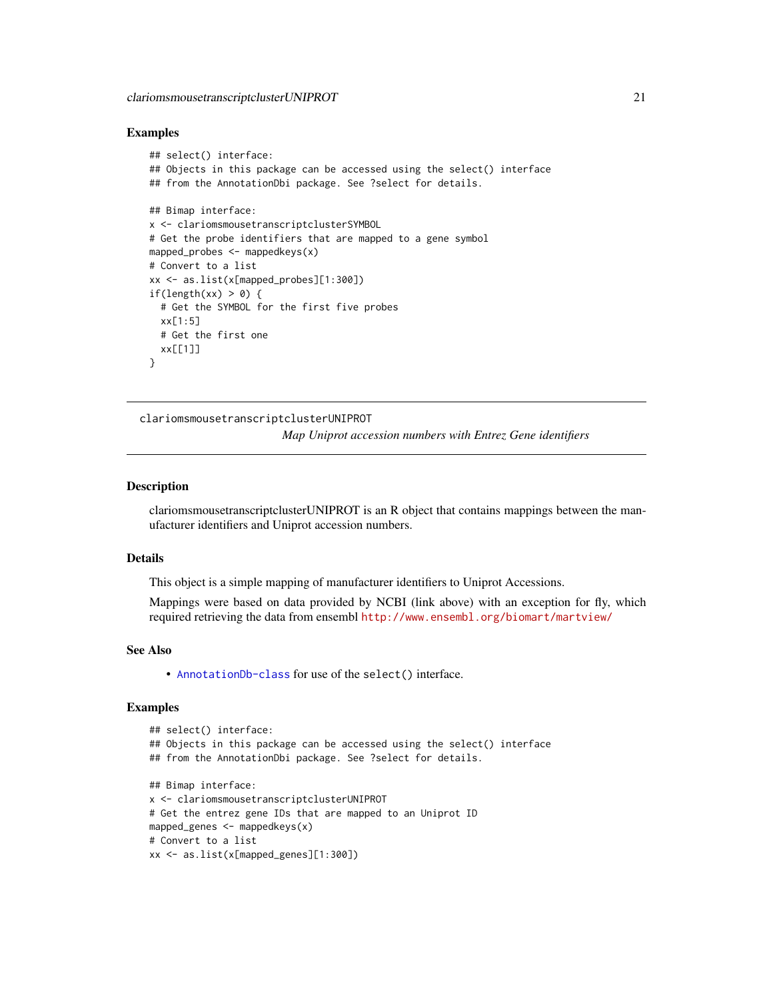#### <span id="page-20-0"></span>Examples

```
## select() interface:
## Objects in this package can be accessed using the select() interface
## from the AnnotationDbi package. See ?select for details.
## Bimap interface:
x <- clariomsmousetranscriptclusterSYMBOL
# Get the probe identifiers that are mapped to a gene symbol
mapped_probes <- mappedkeys(x)
# Convert to a list
xx <- as.list(x[mapped_probes][1:300])
if(length(xx) > 0) {
  # Get the SYMBOL for the first five probes
  xx[1:5]
  # Get the first one
  xx[[1]]
}
```
clariomsmousetranscriptclusterUNIPROT *Map Uniprot accession numbers with Entrez Gene identifiers*

## **Description**

clariomsmousetranscriptclusterUNIPROT is an R object that contains mappings between the manufacturer identifiers and Uniprot accession numbers.

#### Details

This object is a simple mapping of manufacturer identifiers to Uniprot Accessions.

Mappings were based on data provided by NCBI (link above) with an exception for fly, which required retrieving the data from ensembl <http://www.ensembl.org/biomart/martview/>

#### See Also

• [AnnotationDb-class](#page-0-0) for use of the select() interface.

```
## select() interface:
## Objects in this package can be accessed using the select() interface
## from the AnnotationDbi package. See ?select for details.
## Bimap interface:
x <- clariomsmousetranscriptclusterUNIPROT
# Get the entrez gene IDs that are mapped to an Uniprot ID
mapped_genes <- mappedkeys(x)
# Convert to a list
xx <- as.list(x[mapped_genes][1:300])
```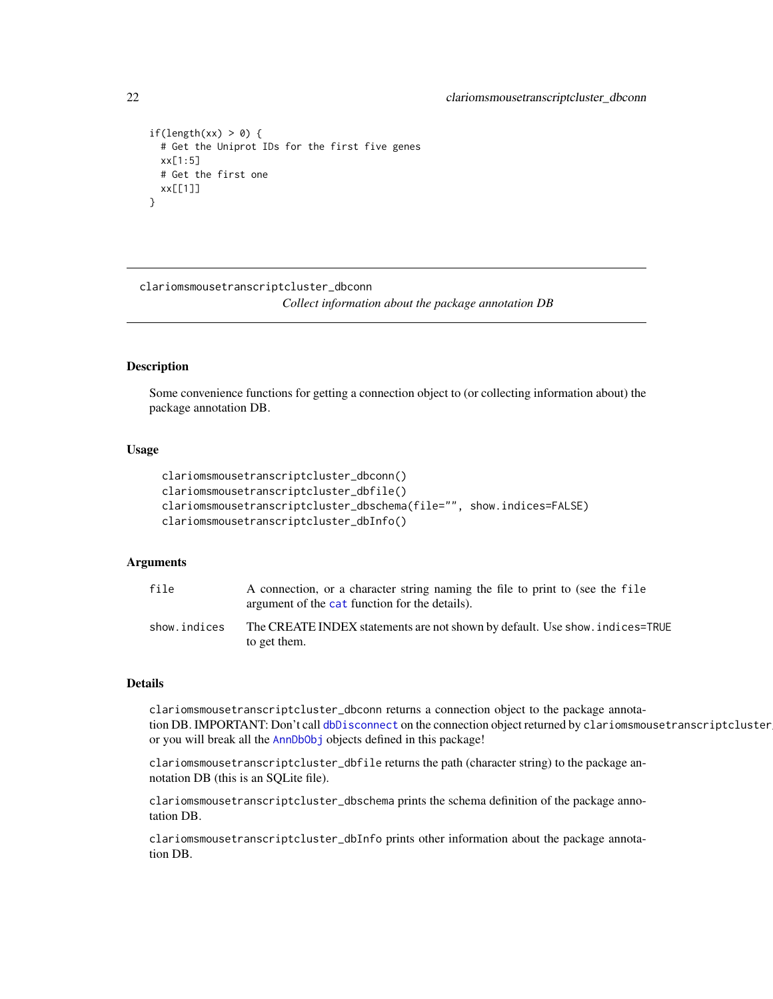```
if(length(xx) > 0) {
 # Get the Uniprot IDs for the first five genes
 xx[1:5]
 # Get the first one
 xx[[1]]
}
```
clariomsmousetranscriptcluster\_dbconn

*Collect information about the package annotation DB*

## Description

Some convenience functions for getting a connection object to (or collecting information about) the package annotation DB.

## Usage

```
clariomsmousetranscriptcluster_dbconn()
clariomsmousetranscriptcluster_dbfile()
clariomsmousetranscriptcluster_dbschema(file="", show.indices=FALSE)
clariomsmousetranscriptcluster_dbInfo()
```
## Arguments

| file         | A connection, or a character string naming the file to print to (see the file<br>argument of the cat function for the details). |
|--------------|---------------------------------------------------------------------------------------------------------------------------------|
| show.indices | The CREATE INDEX statements are not shown by default. Use show, indices=TRUE<br>to get them.                                    |

#### Details

clariomsmousetranscriptcluster\_dbconn returns a connection object to the package annotation DB. IMPORTANT: Don't call [dbDisconnect](#page-0-0) on the connection object returned by clariomsmousetranscriptcluster or you will break all the [AnnDbObj](#page-0-0) objects defined in this package!

clariomsmousetranscriptcluster\_dbfile returns the path (character string) to the package annotation DB (this is an SQLite file).

clariomsmousetranscriptcluster\_dbschema prints the schema definition of the package annotation DB.

clariomsmousetranscriptcluster\_dbInfo prints other information about the package annotation DB.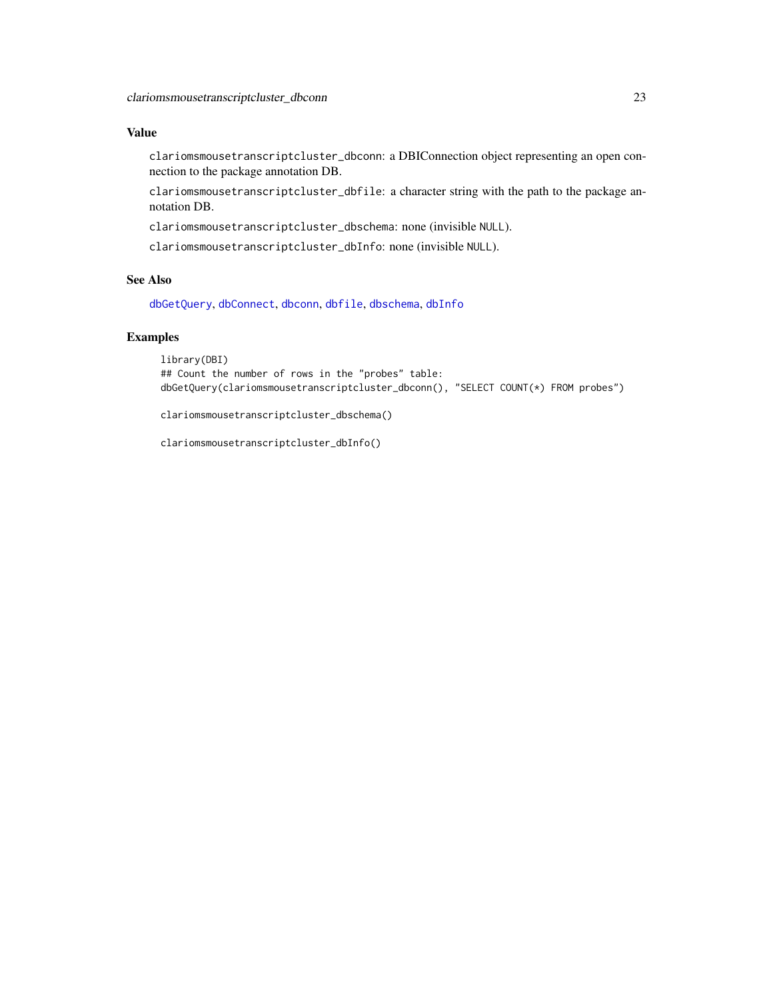## <span id="page-22-0"></span>Value

clariomsmousetranscriptcluster\_dbconn: a DBIConnection object representing an open connection to the package annotation DB.

clariomsmousetranscriptcluster\_dbfile: a character string with the path to the package annotation DB.

clariomsmousetranscriptcluster\_dbschema: none (invisible NULL).

clariomsmousetranscriptcluster\_dbInfo: none (invisible NULL).

## See Also

[dbGetQuery](#page-0-0), [dbConnect](#page-0-0), [dbconn](#page-0-0), [dbfile](#page-0-0), [dbschema](#page-0-0), [dbInfo](#page-0-0)

## Examples

library(DBI) ## Count the number of rows in the "probes" table: dbGetQuery(clariomsmousetranscriptcluster\_dbconn(), "SELECT COUNT(\*) FROM probes")

clariomsmousetranscriptcluster\_dbschema()

clariomsmousetranscriptcluster\_dbInfo()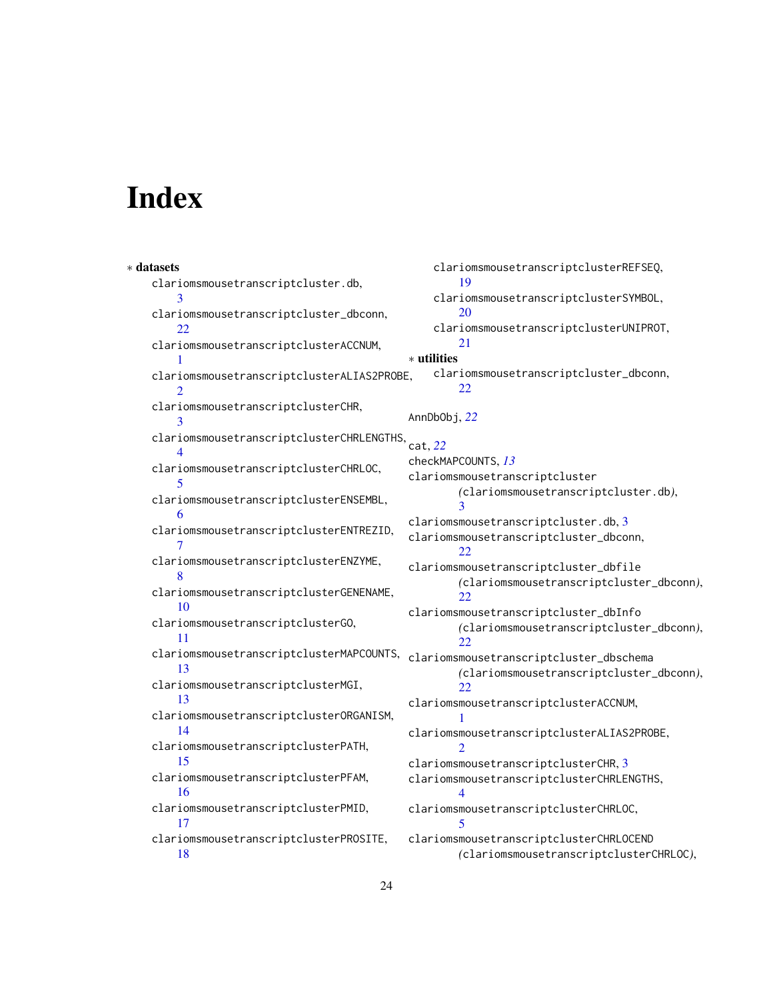# Index

∗ datasets clariomsmousetranscriptcluster.db, [3](#page-2-0) clariomsmousetranscriptcluster\_dbconn, [22](#page-21-0) clariomsmousetranscriptclusterACCNUM, [1](#page-0-1) clariomsmousetranscriptclusterALIAS2PROBE, [2](#page-1-0) clariomsmousetranscriptclusterCHR, [3](#page-2-0) clariomsmousetranscriptclusterCHRLENGTHS, [4](#page-3-0) clariomsmousetranscriptclusterCHRLOC, [5](#page-4-0) clariomsmousetranscriptclusterENSEMBL, [6](#page-5-0) clariomsmousetranscriptclusterENTREZID, [7](#page-6-0) clariomsmousetranscriptclusterENZYME, [8](#page-7-0) clariomsmousetranscriptclusterGENENAME, [10](#page-9-0) clariomsmousetranscriptclusterGO, [11](#page-10-1) clariomsmousetranscriptclusterMAPCOUNTS, clariomsmousetranscriptcluster\_dbschema [13](#page-12-0) clariomsmousetranscriptclusterMGI, [13](#page-12-0) clariomsmousetranscriptclusterORGANISM, [14](#page-13-0) clariomsmousetranscriptclusterPATH, [15](#page-14-0) clariomsmousetranscriptclusterPFAM, [16](#page-15-0) clariomsmousetranscriptclusterPMID, [17](#page-16-0) clariomsmousetranscriptclusterPROSITE, [18](#page-17-0) clariomsmousetranscriptclusterREFSEQ, [19](#page-18-0) clariomsmousetranscriptclusterSYMBOL, [20](#page-19-0) clariomsmousetranscriptclusterUNIPROT, [21](#page-20-0) ∗ utilities clariomsmousetranscriptcluster\_dbconn, [22](#page-21-0) AnnDbObj, *[22](#page-21-0)* cat, *[22](#page-21-0)* checkMAPCOUNTS, *[13](#page-12-0)* clariomsmousetranscriptcluster *(*clariomsmousetranscriptcluster.db*)*, [3](#page-2-0) clariomsmousetranscriptcluster.db, [3](#page-2-0) clariomsmousetranscriptcluster\_dbconn, [22](#page-21-0) clariomsmousetranscriptcluster\_dbfile *(*clariomsmousetranscriptcluster\_dbconn*)*, [22](#page-21-0) clariomsmousetranscriptcluster\_dbInfo *(*clariomsmousetranscriptcluster\_dbconn*)*, [22](#page-21-0) *(*clariomsmousetranscriptcluster\_dbconn*)*,  $22$ clariomsmousetranscriptclusterACCNUM, [1](#page-0-1) clariomsmousetranscriptclusterALIAS2PROBE,  $\mathcal{D}$ clariomsmousetranscriptclusterCHR, [3](#page-2-0) clariomsmousetranscriptclusterCHRLENGTHS, [4](#page-3-0) clariomsmousetranscriptclusterCHRLOC, [5](#page-4-0) clariomsmousetranscriptclusterCHRLOCEND *(*clariomsmousetranscriptclusterCHRLOC*)*,